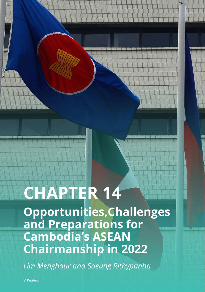# **CHAPTER 14**

**Opportunities,Challenges and Preparations for Cambodia's ASEAN Chairmanship in 2022**

*Lim Menghour and Soeung Rithypanha*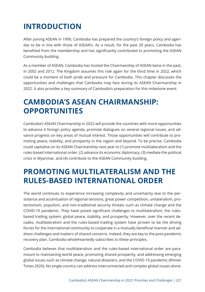# **INTRODUCTION**

After joining ASEAN in 1999, Cambodia has prepared the country's foreign policy and agendas to be in line with those of ASEAN's. As a result, for the past 20 years, Cambodia has benefited from the membership and has significantly contributed to promoting the ASEAN Community building.

As a member of ASEAN, Cambodia has hosted the Chairmanship of ASEAN twice in the past, in 2002 and 2012. The Kingdom assumes this role again for the third time in 2022, which could be a moment of both pride and pressure for Cambodia. This chapter discusses the opportunities and challenges that Cambodia may face during its ASEAN Chairmanship in 2022. It also provides a key summary of Cambodia's preparation for this milestone event.

## **CAMBODIA'S ASEAN CHAIRMANSHIP: OPPORTUNITIES**

Cambodia's ASEAN Chairmanship in 2022 will provide the countries with more opportunities to advance it foreign policy agenda, promote dialogues on several regional issues, and advance progress on key areas of mutual interest. Those opportunities will contribute to promoting peace, stability, and prosperity in the region and beyond. To be precise, Cambodia could capitalise on its ASEAN Chairmanship next year to (1) promote multilateralism and the rules-based international order, (2) advance its economic diplomacy, (3) mediate the political crisis in Myanmar, and (4) contribute to the ASEAN Community building.

#### **PROMOTING MULTILATERALISM AND THE RULES-BASED INTERNATIONAL ORDER**

The world continues to experience increasing complexity and uncertainty due to the persistence and accentuation of regional tensions, great power competition, unilateralism, protectionism, populism, and non-traditional security threats such as climate change and the COVID-19 pandemic. They have posed significant challenges to multilateralism, the rulesbased trading system, global peace, stability, and prosperity. However, over the recent decades, multilateralism and the rules-based trading system have proven to be the driving forces for the international community to cooperate in a mutually beneficial manner and address challenges and matters of shared concerns. Indeed, they are key to the post-pandemic recovery plan. Cambodia wholeheartedly subscribes to these principles.

Cambodia believes that multilateralism and the rules-based international order are paramount to maintaining world peace, promoting shared prosperity, and addressing emerging global issues such as climate change, natural disasters, and the COVID-19 pandemic (Khmer Times 2020). No single country can address interconnected and complex global issues alone.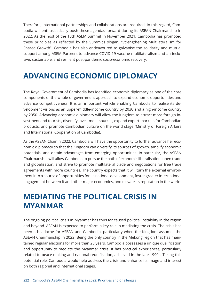Therefore, international partnerships and collaborations are required. In this regard, Cambodia will enthusiastically push these agendas forward during its ASEAN Chairmanship in 2022. As the host of the 13th ASEM Summit in November 2021, Cambodia has promoted these principles as reflected by the Summit's slogan, "Strengthening Multilateralism for Shared Growth". Cambodia has also endeavoured to galvanise the solidarity and mutual support among ASEM Partners to advance COVID-19 vaccine multilateralism and an inclusive, sustainable, and resilient post-pandemic socio-economic recovery.

## **ADVANCING ECONOMIC DIPLOMACY**

The Royal Government of Cambodia has identified economic diplomacy as one of the core components of the whole-of-government approach to expand economic opportunities and advance competitiveness. It is an important vehicle enabling Cambodia to realise its development visions as an upper-middle-income country by 2030 and a high-income country by 2050. Advancing economic diplomacy will allow the Kingdom to attract more foreign investment and tourists, diversify investment sources, expand export markets for Cambodian products, and promote Cambodian culture on the world stage (Ministry of Foreign Affairs and International Cooperation of Cambodia).

As the ASEAN Chair in 2022, Cambodia will have the opportunity to further advance her economic diplomacy so that the Kingdom can diversify its sources of growth, amplify economic potentials, and obtain advantages from emerging opportunities. In particular, the ASEAN Chairmanship will allow Cambodia to pursue the path of economic liberalisation, open trade and globalisation, and strive to promote multilateral trade and negotiations for free trade agreements with more countries. The country expects that it will turn the external environment into a source of opportunities for its national development, foster greater international engagement between it and other major economies, and elevate its reputation in the world.

## **MEDIATING THE POLITICAL CRISIS IN MYANMAR**

The ongoing political crisis in Myanmar has thus far caused political instability in the region and beyond. ASEAN is expected to perform a key role in mediating the crisis. The crisis has been a headache for ASEAN and Cambodia, particularly when the Kingdom assumes the ASEAN Chairmanship in 2022. Being the only country in the Mekong region that has maintained regular elections for more than 20 years, Cambodia possesses a unique qualification and opportunity to mediate the Myanmar crisis. It has practical experiences, particularly related to peace-making and national reunification, achieved in the late 1990s. Taking this potential role, Cambodia would help address the crisis and enhance its image and interest on both regional and international stages.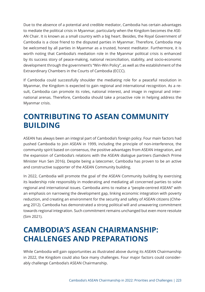Due to the absence of a potential and credible mediator, Cambodia has certain advantages to mediate the political crisis in Myanmar, particularly when the Kingdom becomes the ASE-AN Chair. It is known as a small country with a big heart. Besides, the Royal Government of Cambodia is a close friend to the disputed parties in Myanmar. Therefore, Cambodia may be welcomed by all parties in Myanmar as a trusted, honest meditator. Furthermore, it is worth noting that Cambodia's mediation role in the Myanmar political crisis is enhanced by its success story of peace-making, national reconciliation, stability, and socio-economic development through the government's "Win-Win Policy", as well as the establishment of the Extraordinary Chambers in the Courts of Cambodia (ECCC).

If Cambodia could successfully shoulder the mediating role for a peaceful resolution in Myanmar, the Kingdom is expected to gain regional and international recognition. As a result, Cambodia can promote its roles, national interest, and image in regional and international arenas. Therefore, Cambodia should take a proactive role in helping address the Myanmar crisis.

## **CONTRIBUTING TO ASEAN COMMUNITY BUILDING**

ASEAN has always been an integral part of Cambodia's foreign policy. Four main factors had pushed Cambodia to join ASEAN in 1999, including the principle of non-interference, the community spirit based on consensus, the positive advantages from ASEAN integration, and the expansion of Cambodia's relations with the ASEAN dialogue partners (Samdech Prime Minister Hun Sen 2016). Despite being a latecomer, Cambodia has proven to be an active and constructive supporter of the ASEAN Community building.

In 2022, Cambodia will promote the goal of the ASEAN Community building by exercising its leadership role responsibly in moderating and mediating all concerned parties to solve regional and international issues. Cambodia aims to realise a "people-centred ASEAN" with an emphasis on narrowing the development gap, linking economic integration with poverty reduction, and creating an environment for the security and safety of ASEAN citizens (Chheang 2012). Cambodia has demonstrated a strong political will and unwavering commitment towards regional integration. Such commitment remains unchanged but even more resolute (Sim 2021).

## **CAMBODIA'S ASEAN CHAIRMANSHIP: CHALLENGES AND PREPARATIONS**

While Cambodia will gain opportunities as illustrated above during its ASEAN Chairmanship in 2022, the Kingdom could also face many challenges. Four major factors could considerably challenge Cambodia's ASEAN Chairmanship.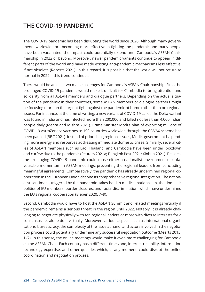#### **THE COVID-19 PANDEMIC**

The COVID-19 pandemic has been disrupting the world since 2020. Although many governments worldwide are becoming more effective in fighting the pandemic and many people have been vaccinated, the impact could potentially extend until Cambodia's ASEAN Chairmanship in 2022 or beyond. Moreover, newer pandemic variants continue to appear in different parts of the world and have made existing anti-pandemic mechanisms less effective, if not obsolete (Roberts 2021). In this regard, it is possible that the world will not return to normal in 2022 if this trend continues.

There would be at least two main challenges for Cambodia's ASEAN Chairmanship. First, the prolonged COVID-19 pandemic would make it difficult for Cambodia to bring attention and solidarity from all ASEAN members and dialogue partners. Depending on the actual situation of the pandemic in their countries, some ASEAN members or dialogue partners might be focusing more on the urgent fight against the pandemic at home rather than on regional issues. For instance, at the time of writing, a new variant of COVID-19 called the Delta-variant was found in India and has infected more than 200,000 and killed not less than 4,000 Indian people daily (Mehta and Mishra 2021). Prime Minister Modi's plan of exporting millions of COVID-19 AstraZeneca vaccines to 190 countries worldwide through the COVAX scheme has been paused (BBC 2021). Instead of prioritising regional issues, Modi's government is spending more energy and resources addressing immediate domestic crises. Similarly, several cities of ASEAN members such as Lao, Thailand, and Cambodia have been under lockdown and curfew due to the pandemic (Reuters 2021a; Bangkok Post 2021; Xinhua 2021). Besides, the prolonging COVID-19 pandemic could cause either a nationalist environment or unfavourable momentum in ASEAN meetings, preventing the regional leaders from concluding meaningful agreements. Comparatively, the pandemic has already undermined regional cooperation in the European Union despite its comprehensive regional integration. The nationalist sentiment, triggered by the pandemic, takes hold in medical nationalism, the domestic politics of EU members, border closures, and racial discrimination, which have undermined the EU's regional cooperation (Bieber 2020, 7–9).

Second, Cambodia would have to host the ASEAN Summit and related meetings virtually if the pandemic remains a serious threat in the region until 2022. Notably, it is already challenging to negotiate physically with ten regional leaders or more with diverse interests for a consensus, let alone do it virtually. Moreover, various aspects such as international organisations' bureaucracy, the complexity of the issue at hand, and actors involved in the negotiation process could potentially undermine any successful negotiation outcome (Meerts 2015, 1–7). In this sense, the online meetings would make it even more challenging for Cambodia as the ASEAN Chair. Each country has a different time zone, internet reliability, information technology expertise, and other qualities which, at any moment, could disrupt the online coordination and negotiation process.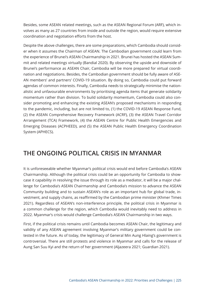Besides, some ASEAN related meetings, such as the ASEAN Regional Forum (ARF), which involves as many as 27 countries from inside and outside the region, would require extensive coordination and negotiation efforts from the host.

Despite the above challenges, there are some preparations, which Cambodia should consider when it assumes the Chairman of ASEAN. The Cambodian government could learn from the experience of Brunei's ASEAN Chairmanship in 2021. Brunei has hosted the ASEAN Summit and related meetings virtually (Bandial 2020). By observing the upside and downside of Brunei's performance as ASEAN Chair, Cambodia will be more prepared for virtual coordination and negotiations. Besides, the Cambodian government should be fully aware of ASE-AN members' and partners' COVID-19 situation. By doing so, Cambodia could put forward agendas of common interests. Finally, Cambodia needs to strategically minimise the nationalistic and unfavourable environments by prioritising agenda items that generate solidarity momentum rather than division. To build solidarity momentum, Cambodia could also consider promoting and enhancing the existing ASEAN's proposed mechanisms in responding to the pandemic, including, but are not limited to, (1) the COVID-19 ASEAN Response Fund, (2) the ASEAN Comprehensive Recovery Framework (ACRF), (3) the ASEAN Travel Corridor Arrangement (TCA) Framework, (4) the ASEAN Centre for Public Health Emergencies and Emerging Diseases (ACPHEED), and (5) the ASEAN Public Health Emergency Coordination System (APHECS).

#### **THE ONGOING POLITICAL CRISIS IN MYANMAR**

It is unforeseeable whether Myanmar's political crisis would end before Cambodia's ASEAN Chairmanship. Although the political crisis could be an opportunity for Cambodia to showcase it capability in resolving the issue through its role as a mediator, it will be a major challenge for Cambodia's ASEAN Chairmanship and Cambodia's mission to advance the ASEAN Community building and to sustain ASEAN's role as an important hub for global trade, investment, and supply chains, as reaffirmed by the Cambodian prime minister (Khmer Times 2021). Regardless of ASEAN's non-interference principle, the political crisis in Myanmar is a common challenge for the region, which Cambodia would inevitably need to address in 2022. Myanmar's crisis would challenge Cambodia's ASEAN Chairmanship in two ways.

First, if the political crisis remains until Cambodia becomes ASEAN Chair, the legitimacy and validity of any ASEAN agreement involving Myanmar's military government could be contested in the future. As of today, the legitimacy of General Min Aung Hlaing's government is controversial. There are still protests and violence in Myanmar and calls for the release of Aung San Suu Kyi and the return of her government (Aljazeera 2021; Guardian 2021).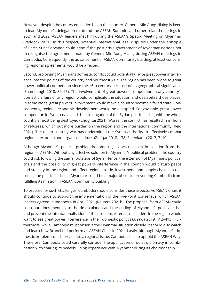However, despite the contested leadership in the country, General Min Aung Hlaing is keen to lead Myanmar's delegation to attend the ASEAN Summits and other related meetings in 2021 and 2022. ASEAN leaders met him during the ASEAN's Special Meeting on Myanmar (Paddock 2021). In this respect, potential international legal disputes under the principle of Pacta Sunt Servanda could arise if the post-crisis government of Myanmar decides not to recognise the agreements made by General Min Aung Hlaing during ASEAN meetings in Cambodia. Consequently, the advancement of ASEAN Community building, at least concerning regional agreements, would be affected.

Second, prolonging Myanmar's domestic conflict could potentially invite great power interference into the politics of the country and Southeast Asia. The region has been prone to great power political competition since the 15th century because of its geographical significance (Shambaugh 2018, 89–95). The involvement of great powers' competition in any country's domestic affairs or any region would complicate the situation and destabilise those places. In some cases, great powers' involvement would make a country become a failed state. Consequently, regional economic development would be disrupted. For example, great power competition in Syria has caused the prolongation of the Syrian political crisis, with the whole country almost being destroyed (Chughtai 2021). Worse, the conflict has resulted in millions of refugees, which put more burden on the region and the international community (Reid 2021). The destruction by war has undermined the Syrian authority to effectively combat regional terrorism and organised crimes (Zulfqar 2018, 138; Steenkamp 2017, 7–10).

Although Myanmar's political problem is domestic, it does not exist in isolation from the region or ASEAN. Without any effective solution to Myanmar's political problem, the country could risk following the same footsteps of Syria. Hence, the extension of Myanmar's political crisis and the possibility of great powers' interference in the country would disturb peace and stability in the region and affect regional trade, investment, and supply chains. In this sense, the political crisis in Myanmar could be a major obstacle preventing Cambodia from fulfilling its mission in ASEAN Community building.

To prepare for such challenges, Cambodia should consider these aspects. As ASEAN Chair, it should continue to support the implementation of the Five-Point Consensus, which ASEAN leaders agreed in Indonesia in April 2021 (Reuters 2021b). The proposal from ASEAN could contribute incrementally to the de-escalation and the ending of Myanmar's political crisis and prevent the internationalisation of the problem. After all, no leaders in the region would want to see great power interference in their domestic politics (Aizawa 2019, 412–415). Furthermore, while Cambodia must observe the Myanmar situation closely, it should also watch and learn how Brunei did perform as ASEAN Chair in 2021. Lastly, although Myanmar's domestic problem could spread into a regional issue, Cambodia has to uphold the ASEAN Way. Therefore, Cambodia could carefully consider the application of quiet diplomacy in combination with sharing its peacebuilding experience with Myanmar during its chairmanship.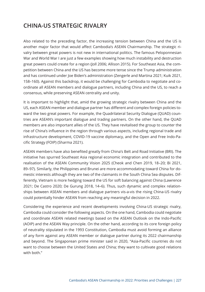#### **CHINA-US STRATEGIC RIVALRY**

Also related to the preceding factor, the increasing tension between China and the US is another major factor that would affect Cambodia's ASEAN Chairmanship. The strategic rivalry between great powers is not new in international politics. The famous Peloponnesian War and World War I are just a few examples showing how much instability and destruction great powers could create for a region (Joll 2006; Allison 2015). For Southeast Asia, the competition between China and the US has become more tense since the Trump administration and has continued under Joe Biden's administration (Zengerle and Martina 2021; Kuik 2021, 158–160). Against this backdrop, it would be challenging for Cambodia to negotiate and coordinate all ASEAN members and dialogue partners, including China and the US, to reach a consensus, while preserving ASEAN centrality and unity.

It is important to highlight that, amid the growing strategic rivalry between China and the US, each ASEAN member and dialogue partner has different and complex foreign policies toward the two great powers. For example, the Quadrilateral Security Dialogue (QUAD) countries are ASEAN's important dialogue and trading partners. On the other hand, the QUAD members are also important allies of the US. They have revitalised the group to counter the rise of China's influence in the region through various aspects, including regional trade and infrastructure development, COVID-19 vaccine diplomacy, and the Open and Free Indo-Pacific Strategy (FOIP) (Sharma 2021).

ASEAN members have also benefited greatly from China's Belt and Road Initiative (BRI). The initiative has spurred Southeast Asia regional economic integration and contributed to the realisation of the ASEAN Community Vision 2025 (Cheok and Chen 2019, 18–20; Bi 2021, 89–97). Similarly, the Philippines and Brunei are more accommodating toward China for domestic interests although they are two of the claimants in the South China Sea disputes. Differently, Vietnam is more hedging toward the US for soft balancing against China (Lawrence 2021; De Castro 2020; De Gurung 2018, 14–6). Thus, such dynamic and complex relationships between ASEAN members and dialogue partners vis-a-vis the rising China-US rivalry could potentially hinder ASEAN from reaching any meaningful decision in 2022.

Considering the experience and recent developments involving China-US strategic rivalry, Cambodia could consider the following aspects. On the one hand, Cambodia could negotiate and coordinate ASEAN related meetings based on the ASEAN Outlook on the Indo-Pacific (AOIP) and the ASEAN Way principle. On the other hand, according to its core foreign policy of neutrality stipulated in the 1993 Constitution, Cambodia must avoid forming an alliance of any form against any ASEAN member or dialogue partner during its 2022 chairmanship and beyond. The Singaporean prime minister said in 2020, "Asia-Pacific countries do not want to choose between the United States and China; they want to cultivate good relations with both."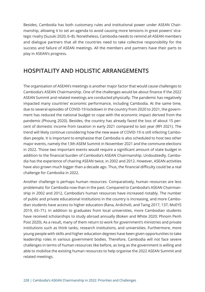Besides, Cambodia has both customary rules and institutional power under ASEAN Chairmanship, allowing it to set an agenda to avoid causing more tensions in great powers' strategic rivalry (Suzuki 2020, 6–8). Nonetheless, Cambodia needs to remind all ASEAN members and dialogue partners that all the countries need to take collective responsibility for the success and failure of ASEAN meetings. All the members and partners have their parts to play in ASEAN's progress.

#### **HOSPITALITY AND HOLISTIC ARRANGEMENTS**

The organisation of ASEAN's meetings is another major factor that would cause challenges to Cambodia's ASEAN Chairmanship. One of the challenges would be about finance if the 2022 ASEAN Summit and related meetings are conducted physically. The pandemic has negatively impacted many countries' economic performance, including Cambodia. At the same time, due to several episodes of COVID-19 lockdown in the country from 2020 to 2021, the government has reduced the national budget to cope with the economic impact derived from the pandemic (Phoung 2020). Besides, the country has already faced the loss of about 15 percent of domestic income from taxation in early 2021 compared to last year (RFI 2021). The trend will likely continue considering how the new wave of COVID-19 is still infecting Cambodian people. It is important to emphasise that Cambodia is also scheduled to host two other major events, namely the 13th ASEM Summit in November 2021 and the commune elections in 2022. Those two important events would require a significant amount of state budget in addition to the financial burden of Cambodia's ASEAN Chairmanship. Undoubtedly, Cambodia has the experience of chairing ASEAN twice, in 2002 and 2012. However, ASEAN activities have also grown much bigger than a decade ago. Thus, the financial difficulty could be a real challenge for Cambodia in 2022.

Another challenge is perhaps human resources. Comparatively, human resources are less problematic for Cambodia now than in the past. Compared to Cambodia's ASEAN Chairmanship in 2002 and 2012, Cambodia's human resources have increased notably. The number of public and private educational institutions in the country is increasing, and more Cambodian students have access to higher education (Rana, Ardichvili, and Taing 2017, 137; MoEYS 2019, 65–71). In addition to graduates from local universities, more Cambodian students have received scholarships to study abroad annually (Boken and White 2020; Phnom Penh Post 2020). As a result, many of them return to work for government's ministries and private institutions such as think tanks, research institutions, and universities. Furthermore, more young people with skills and higher education degrees have been given opportunities to take leadership roles in various government bodies. Therefore, Cambodia will not face severe challenges in terms of human resources like before, as long as the government is willing and able to mobilise the existing human resources to help organise the 2022 ASEAN Summit and related meetings.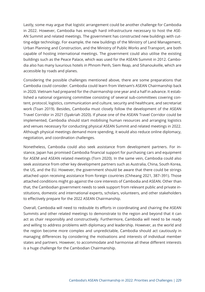Lastly, some may argue that logistic arrangement could be another challenge for Cambodia in 2022. However, Cambodia has enough hard infrastructure necessary to host the ASE-AN Summit and related meetings. The government has constructed new buildings with cutting-edge technology. For example, the new buildings of the Ministry of Land Management, Urban Planning and Construction, and the Ministry of Public Works and Transport, are both capable of hosting international meetings. The government could also utilise the existing buildings such as the Peace Palace, which was used for the ASEAN Summit in 2012. Cambodia also has many luxurious hotels in Phnom Penh, Siem Reap, and Sihanoukville, which are accessible by roads and planes.

Considering the possible challenges mentioned above, there are some preparations that Cambodia could consider. Cambodia could learn from Vietnam's ASEAN Chairmanship back in 2020. Vietnam had prepared for the chairmanship one year and a half in advance. It established a national organising committee consisting of several sub-committees covering content, protocol, logistics, communication and culture, security and healthcare, and secretariat work (Toan 2019). Besides, Cambodia must closely follow the development of the ASEAN Travel Corridor in 2021 (Syakriah 2020). If phase one of the ASEAN Travel Corridor could be implemented, Cambodia should start mobilising human resources and arranging logistics and venues necessary for conducting physical ASEAN Summit and related meetings in 2022. Although physical meetings demand more spending, it would also reduce online diplomacy, negotiation, and coordination challenges.

Nonetheless, Cambodia could also seek assistance from development partners. For instance, Japan has promised Cambodia financial support for purchasing cars and equipment for ASEM and ASEAN related meetings (Torn 2020). In the same vein, Cambodia could also seek assistance from other key development partners such as Australia, China, South Korea, the US, and the EU. However, the government should be aware that there could be strings attached upon receiving assistance from foreign countries (Chheang 2021, 387–391). Those attached conditions might go against the core interests of Cambodia and ASEAN. Other than that, the Cambodian government needs to seek support from relevant public and private institutions, domestic and international experts, scholars, volunteers, and other stakeholders to effectively prepare for the 2022 ASEAN Chairmanship.

Overall, Cambodia will need to redouble its efforts in coordinating and chairing the ASEAN Summits and other related meetings to demonstrate to the region and beyond that it can act as chair responsibly and constructively. Furthermore, Cambodia will need to be ready and willing to address problems with diplomacy and leadership. However, as the world and the region become more complex and unpredictable, Cambodia should act cautiously in managing differences by considering the motivations and interests of individual member states and partners. However, to accommodate and harmonise all these different interests is a huge challenge for the Cambodian Chairmanship.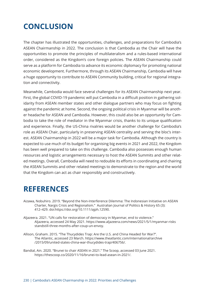# **CONCLUSION**

The chapter has illustrated the opportunities, challenges, and preparations for Cambodia's ASEAN Chairmanship in 2022. The conclusion is that Cambodia as the Chair will have the opportunities to promote the principles of multilateralism and a rules-based international order, considered as the Kingdom's core foreign policies. The ASEAN Chairmanship could serve as a platform for Cambodia to advance its economic diplomacy for promoting national economic development. Furthermore, through its ASEAN Chairmanship, Cambodia will have a huge opportunity to contribute to ASEAN Community building, critical for regional integration and connectivity.

Meanwhile, Cambodia would face several challenges for its ASEAN Chairmanship next year. First, the global COVID-19 pandemic will put Cambodia in a difficult position in gathering solidarity from ASEAN member states and other dialogue partners who may focus on fighting against the pandemic at home. Second, the ongoing political crisis in Myanmar will be another headache for ASEAN and Cambodia. However, this could also be an opportunity for Cambodia to take the role of mediator in the Myanmar crisis, thanks to its unique qualification and experience. Finally, the US-China rivalries would be another challenge for Cambodia's role as ASEAN Chair, particularly in preserving ASEAN centrality and serving the bloc's interest. ASEAN Chairmanship in 2022 will be a major task for Cambodia. Although the country is expected to use much of its budget for organising big events in 2021 and 2022, the Kingdom has been well prepared to take on this challenge. Cambodia also possesses enough human resources and logistic arrangements necessary to host the ASEAN Summits and other related meetings. Overall, Cambodia will need to redouble its efforts in coordinating and chairing the ASEAN Summits and other related meetings to demonstrate to the region and the world that the Kingdom can act as chair responsibly and constructively.

#### **REFERENCES**

- Aizawa, Nobuhiro. 2019. "Beyond the Non-Interference Dilemma: The Indonesian Initiative on ASEAN Charter, Nargis Crisis and Regionalism." Australian Journal of Politics & History 65 (3): 412–429. doi:https://doi.org/10.1111/ajph.12590.
- Aljazeera. 2021. "UN calls for restoration of democracy in Myanmar, end to violence." Aljazeera, accessed 24 May 2021. https://www.aljazeera.com/news/2021/5/1/myanmar-risks standstill-three-months-after-coup-un-envoy.
- Allison, Graham. 2015. "The Thucydides Trap: Are the U.S. and China Headed for War?". The Atlantic, accessed 23 March. https://www.theatlantic.com/international/archive /2015/09/united-states-china-war-thucydides-trap/406756/.
- Bandial, Ain. 2020. "Brunei to chair ASEAN in 2021." The Scoop, accessed 03 June 2021. https://thescoop.co/2020/11/16/brunei-to-lead-asean-in-2021/.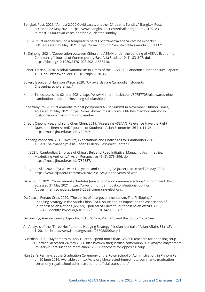- Bangkok Post. 2021. "Almost 2,000 Covid cases, another 21 deaths Sunday." Bangkok Post, accessed 22 May 2021. https://www.bangkokpost.com/thailand/general/2109123 /almost-2-000-covid-cases-another-21-deaths-sunday.
- BBC. 2021. "Coronavirus: India temporarily halts Oxford-AstraZeneca vaccine exports." BBC, accessed 21 May 2021. https://www.bbc.com/news/world-asia-india-56513371.
- Bi, Shihong. 2021. "Cooperation between China and ASEAN under the building of ASEAN Economic Community." Journal of Contemporary East Asia Studies 10 (1): 83–107. doi: https://doi.org/10.1080/24761028.2021.1888410.
- Bieber, Florian. 2020. "Global Nationalism in Times of the COVID-19 Pandemic." Nationalities Papers: 1–13. doi: https://doi.org/10.1017/nps.2020.35.
- Boken, Jason, and Harrison White. 2020. "UK awards nine Cambodian students Chevening scholarships."
- Khmer Times, accessed 02 June 2021. https://www.khmertimeskh.com/50757703/uk-awards-nine -cambodian-students-chevening-scholarships/.
- Chea Vanyuth. 2021. "Cambodia to host postponed ASEM Summit in November." Khmer Times, accessed 31 May 2021. https://www.khmertimeskh.com/50863649/cambodia-to-host postponed-asem-summit-in-november/.
- Cheok, Cheong Kee, and Yong Chen Chen. 2019. "Assessing ASEAN'S Relevance Have the Right Questions Been Asked?" Journal of Southeast Asian Economies 36 (1): 11–24. doi: https://muse.jhu.edu/article/722707.
- Chheang Vannarith. 2012. "Results, Expectations and Challenges for Cambodia's 2012 ASEAN Chairmanship" Asia Pacific Bulletin, East-West Center 183.
- \_\_\_. 2021. "Cambodia's Embrace of China's Belt and Road Initiative: Managing Asymmetries, Maximizing Authority." Asian Perspective 45 (2): 375–396. doi: https://muse.jhu.edu/article/787857.
- Chughtai, Alia. 2021. "Syria's war: Ten years–and counting." Aljazeera, accessed 25 May 2021. https://www.aljazeera.com/news/2021/3/15/syria-ten-years-of-war.
- Dara, Voun. 2021. "Government schedules June 5 for 2022 commune elections." Phnom Penh Post, accessed 31 May 2021. https://www.phnompenhpost.com/national-politics /government-schedules-june-5-2022-commune-elections.
- De Castro, Renato Cruz. 2020. "The Limits of Intergovernmentalism: The Philippines' Changing Strategy in the South China Sea Dispute and Its Impact on the Association of Southeast Asian Nations (ASEAN)." Journal of Current Southeast Asian Affairs 39 (3): 335–358. doi:https://doi.org/10.1177/1868103420935562.

De Gurung, Ananta Swarup Bijendra. 2018. "China, Vietnam, and the South China Sea

- An Analysis of the "Three Nos" and the Hedging Strategy." Indian Journal of Asian Affairs 31 (1/2): 1–20. doi: https://www.jstor.org/stable/26608820?seq=1.
- Guardian. 2021. "Myanmar's military rulers suspend more than 125,000 teachers for opposing coup." Guardian, accessed 24 May 2021. https://www.theguardian.com/world/2021/may/23/myanmars -military-rulers-suspend-more-than-125000-teachers-for-opposing-coup.
- Hun Sen's Remarks at the Graduation Ceremony of the Royal School of Administration, in Phnom Penh, on 20 June 2016. Available at: http://cnv.org.kh/selected-impromptu-comments-graduation -ceremony-royal-school-administration-unofficial-translation/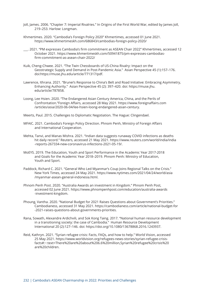- Joll, James. 2006. "Chapter 7: Imperial Rivalries." In Origins of the First World War, edited by James Joll, 219–253. Harlow: Longman.
- Khmertimes. 2020. "Cambodia's Foreign Policy 2020" Khmertimes, accessed 01 June 2021. https://www.khmertimeskh.com/686843/cambodias-foreign-policy-2020/
- \_\_\_. 2021. "PM expresses Cambodia's firm commitment as ASEAN Chair 2022" Khmertimes, accessed 12 October 2021. https://www.khmertimeskh.com/50941875/pm-expresses-cambodias firm-commitment-as-asean-chair-2022/
- Kuik, Cheng-Chwee. 2021. "The Twin Chessboards of US-China Rivalry: Impact on the Geostrategic Supply and Demand in Post-Pandemic Asia." Asian Perspective 45 (1):157–176. doi:https://muse.jhu.edu/article/771317/pdf.
- Lawrence, Ithrana. 2021. "Brunei's Response to China's Belt and Road Initiative: Embracing Asymmetry, Enhancing Authority." Asian Perspective 45 (2): 397–420. doi: https://muse.jhu. edu/article/787858.
- Loong, Lee Hsien. 2020. "The Endangered Asian Century America, China, and the Perils of Confrontation."Foreign Affairs, accessed 28 May 2021. https://www.foreignaffairs.com /articles/asia/2020-06-04/lee-hsien-loong-endangered-asian-century.
- Meerts, Paul. 2015. Challenges to Diplomatic Negotiation. The Hague: Clingendael.
- MFAIC. 2021. Cambodia's Foreign Policy Direction. Phnom Penh, Ministry of Foreign Affairs and International Cooperation.
- Mehta, Tanvi, and Manas Mishra. 2021. "Indian data suggests runaway COVID infections as deaths hit daily record." Reuters, accessed 21 May 2021. https://www.reuters.com/world/india/india -reports-267334-new-coronavirus-infections-2021-05-19/.
- MoEYS. 2019. The Education, Youth and Sport Performance in the Academic Year 2017-2018 and Goals for the Academic Year 2018–2019. Phnom Penh: Ministry of Education, Youth and Sport.
- Paddock, Richard C. 2021. "General Who Led Myanmar's Coup Joins Regional Talks on the Crisis." New York Times, accessed 24 May 2021. https://www.nytimes.com/2021/04/24/world/asia /myanmar-asean-general-indonesia.html.
- Phnom Penh Post. 2020. "Australia Awards an investment in Kingdom." Phnom Penh Post, accessed 02 June 2021. https://www.phnompenhpost.com/education/australia-awards -investment-kingdom.
- Phoung, Vantha. 2020. "National Budget for 2021 Raises Questions about Government's Priorities." Cambodianess, accessed 31 May 2021. https://cambodianess.com/article/national-budget-for -2021-raises-questions-about-governments-priorities.
- Rana, Sowath, Alexandre Ardichvili, and Sok Kong Taing. 2017. "National human resource development in a transitioning society: the case of Cambodia." Human Resource Development International 20 (2):127–146. doi: https://doi.org/10.1080/13678868.2016.1243937.
- Reid, Kathryn. 2021. "Syrian refugee crisis: Facts, FAQs, and how to help." World Vision, accessed 25 May 2021. https://www.worldvision.org/refugees-news-stories/syrian-refugee-crisis facts#:~:text=There%20are%20about%206.6%20million,Syrian%20refugee%20crisis%20 are%20children.